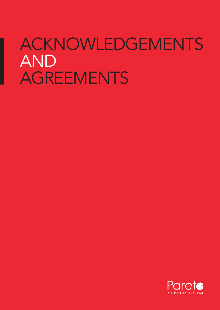# ACKNOWLEDGEMENTS AND AGREEMENTS

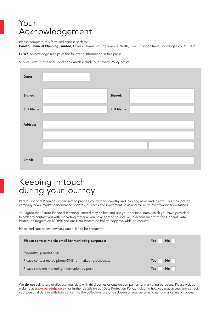### Your Acknowledgement

Please complete this form and send it back to:

Pareto Financial Planning Limited, Level 7, Tower 12, The Avenue North, 18-22 Bridge Street, Spinningfields, M3 3BZ

I / We acknowledge receipt of the following information in this pack:

Service Level Terms and Conditions which include our Privacy Policy notice.

| Date:             |                   |  |
|-------------------|-------------------|--|
| Signed:           | Signed:           |  |
| <b>Full Name:</b> | <b>Full Name:</b> |  |
| Address:          |                   |  |
|                   |                   |  |
|                   |                   |  |
| Email:            |                   |  |

# Keeping in touch during your journey

Pareto Financial Planning Limited aim to provide you with trustworthy and inspiring news and insight. This may include company news, market performance updates, business and investment news and exclusive event/webinar invitations.

You agree that Pareto Financial Planning Limited may collect and use your personal data, which you have provided. In order to contact you with marketing material you have agreed to receive, in accordance with the General Data Protection Regulation (GDPR) and our Data Protection Policy (copy available on request).

Please indicate below how you would like to be contacted:

| Please contact me via email for marketing purposes:    | <b>No</b><br>Yes        |
|--------------------------------------------------------|-------------------------|
| Additional permissions:                                |                         |
| Please contact me by phone/SMS for marketing purposes: | <b>No</b><br>Yes:       |
| Please send me marketing information by post:          | <b>No</b><br><b>Yes</b> |
|                                                        |                         |

We do not sell, share or disclose your data with third parties or outside companies for marketing purposes. Please visit our website at **www.paretofp.co.uk** for further details on our Data Protection Policy, including how you may access and correct your personal data or withdraw consent to the collection, use or disclosure of your personal data for marketing purposes.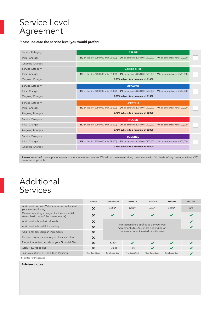# Service Level Agreement

#### Please indicate the service level you would prefer:

| <b>Service Category</b> | <b>ASPIRE</b>                                                                                           |  |
|-------------------------|---------------------------------------------------------------------------------------------------------|--|
| Initial Charges         | 3% on the first £250,000 (min £2,000)<br>2% on amounts £250,001-£500,000<br>1% on amounts over £500,000 |  |
| <b>Ongoing Charges</b>  |                                                                                                         |  |
| Service Category        | <b>ASPIRE PLUS</b>                                                                                      |  |
| Initial Charges         | 3% on the first £250,000 (min £2,000)<br>2% on amounts £250,001-£500,000<br>1% on amounts over £500,000 |  |
| <b>Ongoing Charges</b>  | 0.75% subject to a minimum of £1000                                                                     |  |
| Service Category        | <b>GROWTH</b>                                                                                           |  |
| Initial Charges         | 3% on the first £250,000 (min £2,000)<br>2% on amounts £250,001-£500,000<br>1% on amounts over £500,000 |  |
| <b>Ongoing Charges</b>  | 0.75% subject to a minimum of £1500                                                                     |  |
| Service Category        | <b>LIFESTYLE</b>                                                                                        |  |
|                         |                                                                                                         |  |
| Initial Charges         | 3% on the first £250,000 (min £2,000) 2% on amounts £250,001-£500,000<br>1% on amounts over £500,000    |  |
| <b>Ongoing Charges</b>  | 0.75% subject to a minimum of £2000                                                                     |  |
| Service Category        | <b>INCOME</b>                                                                                           |  |
| Initial Charges         | 3% on the first £250,000 (min £2,000)<br>2% on amounts £250,001-£500,000<br>1% on amounts over £500,000 |  |
| <b>Ongoing Charges</b>  | 0.75% subject to a minimum of £2000                                                                     |  |
| Service Category        | <b>TAILORED</b>                                                                                         |  |
| Initial Charges         | 3% on the first £250,000 (min £2,000)<br>2% on amounts £250,001-£500,000<br>1% on amounts over £500,000 |  |

**Please note:** VAT may apply to aspects of the above noted service. We will, at the relevant time, provide you with full details of any instances where VAT<br>becomes applicable.

### Additional Services

|                                                                                        | <b>ASPIRE</b>             | <b>ASPIRE PLUS</b>                                                                                                         | <b>GROWTH</b>   | <b>LIFESTYLE</b>         | <b>INCOME</b>            | <b>TAILORED</b>          |
|----------------------------------------------------------------------------------------|---------------------------|----------------------------------------------------------------------------------------------------------------------------|-----------------|--------------------------|--------------------------|--------------------------|
| Additional Portfolio Valuation Report outside of<br>your service offering              | ×                         | £250*                                                                                                                      | $£250*$         | $f250*$                  | $f250*$                  | n/a                      |
| General servicing (change of address, marital<br>status, basic policy/plan amendments) | $\boldsymbol{\mathsf{x}}$ | $\checkmark$                                                                                                               | $\checkmark$    | $\checkmark$             | $\cdot$                  |                          |
| Additional advised withdrawals                                                         | $\boldsymbol{\mathsf{x}}$ |                                                                                                                            |                 |                          |                          | $\overline{\phantom{a}}$ |
| Additional advised ISA planning                                                        | ×                         | Transactional fee applies as per your Fee<br>Agreement, 3%, 2%, or 1% depending on<br>the new amount invested or withdrawn |                 |                          |                          |                          |
| Additional advised plan increments                                                     | ×                         |                                                                                                                            |                 |                          |                          |                          |
| Pension review outside of your Financial Plan                                          | ×                         |                                                                                                                            |                 |                          |                          |                          |
| Protection review outside of your Financial Plan                                       | $\bm{x}$                  | $f250*$                                                                                                                    | $\cdot$         | $\overline{\phantom{a}}$ | $\cdot$                  |                          |
| Cash Flow Modelling                                                                    | ×                         | £2000                                                                                                                      | £2000           |                          | $\overline{\mathcal{L}}$ |                          |
| Tax Calculations, IHT and Trust Planning                                               | <b>Time Based Cost</b>    | <b>Time Based Cost</b>                                                                                                     | Time Based Cost | Time Based Cost          | Time Based Cost          |                          |
| * Fixed fee for this service                                                           |                           |                                                                                                                            |                 |                          |                          |                          |

#### Adviser notes: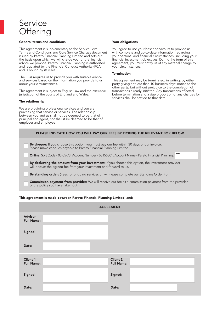# Service **Offering**

#### General terms and conditions

This agreement is supplementary to the Service Level Terms and Conditions and Core Service Charges document issued by Pareto Financial Planning Limited and sets out the basis upon which we will charge you for the financial advice we provide. Pareto Financial Planning is authorised and regulated by the Financial Conduct Authority (FCA) and is bound by its rules.

The FCA requires us to provide you with suitable advice and services based on the information you provide to us about your circumstances.

This agreement is subject to English Law and the exclusive jurisdiction of the courts of England and Wales.

#### The relationship

We are providing professional services and you are purchasing that service or services. The relationship between you and us shall not be deemed to be that of principal and agent, nor shall it be deemed to be that of employer and employee.

#### Your obligations

You agree to use your best endeavours to provide us with complete and up-to-date information regarding your personal and financial circumstances, including your financial investment objectives. During the term of this agreement, you must notify us of any material change to your circumstances.

#### **Termination**

This agreement may be terminated, in writing, by either party giving not less than 10 business days' notice to the other party, but without prejudice to the completion of transactions already initiated. Any transactions effected before termination and a due proportion of any charges for services shall be settled to that date.

| PLEASE INDICATE HOW YOU WILL PAY OUR FEES BY TICKING THE RELEVANT BOX BELOW                                                                                                                                                                                                         |  |
|-------------------------------------------------------------------------------------------------------------------------------------------------------------------------------------------------------------------------------------------------------------------------------------|--|
| By cheque: If you choose this option, you must pay our fee within 30 days of our invoice.<br>Please make cheques payable to Pareto Financial Planning Limited.<br>REF:                                                                                                              |  |
| Online: Sort Code - 05-05-73, Account Number - 68155301, Account Name - Pareto Financial Planning.<br><b>By deducting the amount from your investment:</b> If you choose this option, the investment provider<br>will deduct the agreed fee from your investment and forward to us. |  |
| By standing order: (Fees for ongoing services only): Please complete our Standing Order Form.<br><b>Commission payment from provider:</b> We will receive our fee as a commission payment from the provider<br>of the policy you have taken out.                                    |  |
|                                                                                                                                                                                                                                                                                     |  |

#### This agreement is made between Pareto Financial Planning Limited, and:

|                                      | <b>AGREEMENT</b>                     |
|--------------------------------------|--------------------------------------|
| <b>Adviser</b><br><b>Full Name:</b>  |                                      |
| Signed:                              |                                      |
| Date:                                |                                      |
| <b>Client 1</b><br><b>Full Name:</b> | <b>Client 2</b><br><b>Full Name:</b> |
| Signed:                              | Signed:                              |
| Date:                                | Date:                                |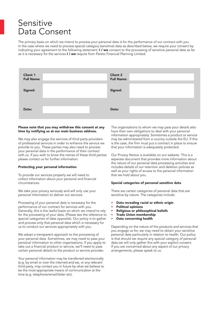### Sensitive Data Consent

The primary basis on which we intend to process your personal data is for the performance of our contract with you. In the case where we need to process special category (sensitive) data as described below, we require your consent by indicating your agreement to the following statement: I / we consent to the processing of sensitive personal data as far as it is necessary for the services I / we require from Pareto Financial Planning Limited.

| <b>Client 1</b><br><b>Full Name:</b> | <b>Client 2</b><br><b>Full Name:</b> |  |
|--------------------------------------|--------------------------------------|--|
| Signed:                              | Signed:                              |  |
| Date:                                | Date:                                |  |

#### Please note that you may withdraw this consent at any time by notifying us at our main business address.

We may also engage the services of third party providers of professional services in order to enhance the service we provide to you. These parties may also need to process your personal data in the performance of their contract with us. If you wish to know the names of these third parties please contact us for further information.

#### Protecting your personal information

To provide our services properly we will need to collect information about your personal and financial circumstances.

We take your privacy seriously and will only use your personal information to deliver our services.

Processing of your personal data is necessary for the performance of our contract for services with you. Generally, this is the lawful basis on which we intend to rely for the processing of your data. (Please see the reference to special categories of data opposite). Our policy is to gather and process only that personal data which is necessary for us to conduct our services appropriately with you.

We adopt a transparent approach to the processing of your personal data. Sometimes, we may need to pass your personal information to other organisations. If you apply to take out a financial product or service, we'll need to pass certain personal details to the product or service provider.

Your personal information may be transferred electronically (e.g. by email or over the internet) and we, or any relevant third party, may contact you in future by what we believe to be the most appropriate means of communication at the time (e.g. telephone/email/letter etc).

The organisations to whom we may pass your details also have their own obligations to deal with your personal information appropriately. Sometimes a product or service may be administered from a country outside the EU. If this is the case, the firm must put a contract in place to ensure that your information is adequately protected.

Our Privacy Notice is available on our website. This is a separate document that provides more information about the nature of our personal data processing activities and includes details of our retention and deletion policies as well as your rights of access to the personal information that we hold about you.

#### Special categories of personal sensitive data

There are certain categories of personal data that are sensitive by nature. The categories include:

- Data revealing racial or ethnic origin
- Political opinions
- Religious or philosophical beliefs
- Trade Union membership
- Data concerning health

Depending on the nature of the products and services that you engage us for, we may need to obtain your sensitive personal data particularly in relation to health. Our policy is that should we require any special category of personal data we will only gather this with your explicit consent. If you are concerned about any aspect of our privacy arrangements, please speak to us.